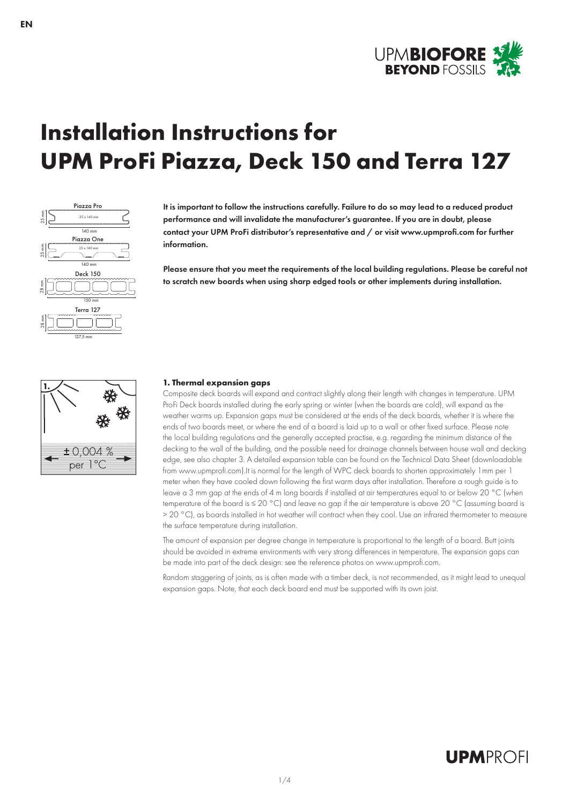

# **Installation Instructions for UPM ProFi Piazza, Deck 150 and Terra 127**



It is important to follow the instructions carefully. Failure to do so may lead to a reduced product performance and will invalidate the manufacturer's guarantee. If you are in doubt, please contact your UPM ProFi distributor's representative and / or visit www.upmprofi.com for further information.

Please ensure that you meet the requirements of the local building regulations. Please be careful not to scratch new boards when using sharp edged tools or other implements during installation.



#### **1. Thermal expansion gaps**

Composite deck boards will expand and contract slightly along their length with changes in temperature. UPM ProFi Deck boards installed during the early spring or winter (when the boards are cold), will expand as the weather warms up. Expansion gaps must be considered at the ends of the deck boards, whether it is where the ends of two boards meet, or where the end of a board is laid up to a wall or other fixed surface. Please note the local building regulations and the generally accepted practise, e.g. regarding the minimum distance of the decking to the wall of the building, and the possible need for drainage channels between house wall and decking edge, see also chapter 3. A detailed expansion table can be found on the Technical Data Sheet (downloadable from www.upmprofi.com).It is normal for the length of WPC deck boards to shorten approximately 1mm per 1 meter when they have cooled down following the first warm days after installation. Therefore a rough guide is to leave a 3 mm gap at the ends of 4 m long boards if installed at air temperatures equal to or below 20 °C (when temperature of the board is ≤ 20 °C) and leave no gap if the air temperature is above 20 °C (assuming board is > 20 °C), as boards installed in hot weather will contract when they cool. Use an infrared thermometer to measure the surface temperature during installation.

The amount of expansion per degree change in temperature is proportional to the length of a board. Butt joints should be avoided in extreme environments with very strong differences in temperature. The expansion gaps can be made into part of the deck design: see the reference photos on www.upmprofi.com.

Random staggering of joints, as is often made with a timber deck, is not recommended, as it might lead to unequal expansion gaps. Note, that each deck board end must be supported with its own joist.

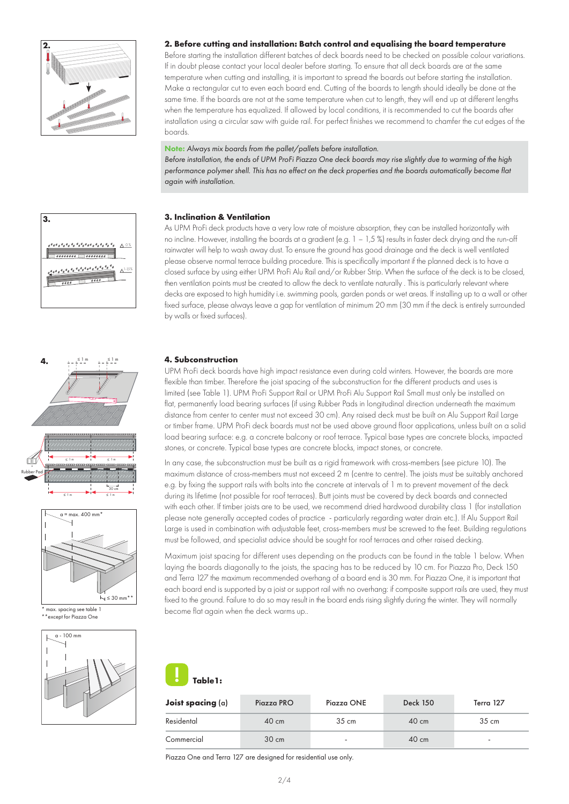

#### **2. Before cutting and installation: Batch control and equalising the board temperature**

Before starting the installation different batches of deck boards need to be checked on possible colour variations. If in doubt please contact your local dealer before starting. To ensure that all deck boards are at the same temperature when cutting and installing, it is important to spread the boards out before starting the installation. Make a rectangular cut to even each board end. Cutting of the boards to length should ideally be done at the same time. If the boards are not at the same temperature when cut to length, they will end up at different lengths when the temperature has equalized. If allowed by local conditions, it is recommended to cut the boards after installation using a circular saw with guide rail. For perfect finishes we recommend to chamfer the cut edges of the boards.

#### Note: *Always mix boards from the pallet/pallets before installation.*

*Before installation, the ends of UPM ProFi Piazza One deck boards may rise slightly due to warming of the high performance polymer shell. This has no effect on the deck properties and the boards automatically become flat again with installation.*









 $\frac{1}{2}$ except for Piazza One



#### **3. Inclination & Ventilation**

As UPM ProFi deck products have a very low rate of moisture absorption, they can be installed horizontally with no incline. However, installing the boards at a gradient (e.g. 1 – 1,5 %) results in faster deck drying and the run-off rainwater will help to wash away dust. To ensure the ground has good drainage and the deck is well ventilated please observe normal terrace building procedure. This is specifically important if the planned deck is to have a closed surface by using either UPM ProFi Alu Rail and/or Rubber Strip. When the surface of the deck is to be closed, then ventilation points must be created to allow the deck to ventilate naturally . This is particularly relevant where decks are exposed to high humidity i.e. swimming pools, garden ponds or wet areas. If installing up to a wall or other fixed surface, please always leave a gap for ventilation of minimum 20 mm (30 mm if the deck is entirely surrounded by walls or fixed surfaces).

#### **4. Subconstruction**

UPM ProFi deck boards have high impact resistance even during cold winters. However, the boards are more flexible than timber. Therefore the joist spacing of the subconstruction for the different products and uses is limited (see Table 1). UPM ProFi Support Rail or UPM ProFi Alu Support Rail Small must only be installed on flat, permanently load bearing surfaces (if using Rubber Pads in longitudinal direction underneath the maximum distance from center to center must not exceed 30 cm). Any raised deck must be built on Alu Support Rail Large or timber frame. UPM ProFi deck boards must not be used above ground floor applications, unless built on a solid load bearing surface: e.g. a concrete balcony or roof terrace. Typical base types are concrete blocks, impacted stones, or concrete. Typical base types are concrete blocks, impact stones, or concrete.

In any case, the subconstruction must be built as a rigid framework with cross-members (see picture 10). The maximum distance of cross-members must not exceed 2 m (centre to centre). The joists must be suitably anchored e.g. by fixing the support rails with bolts into the concrete at intervals of 1 m to prevent movement of the deck during its lifetime (not possible for roof terraces). Butt joints must be covered by deck boards and connected with each other. If timber joists are to be used, we recommend dried hardwood durability class 1 (for installation please note generally accepted codes of practice - particularly regarding water drain etc.). If Alu Support Rail Large is used in combination with adjustable feet, cross-members must be screwed to the feet. Building regulations must be followed, and specialist advice should be sought for roof terraces and other raised decking.

Maximum joist spacing for different uses depending on the products can be found in the table 1 below. When laying the boards diagonally to the joists, the spacing has to be reduced by 10 cm. For Piazza Pro, Deck 150 and Terra 127 the maximum recommended overhang of a board end is 30 mm. For Piazza One, it is important that each board end is supported by a joist or support rail with no overhang: if composite support rails are used, they must fixed to the ground. Failure to do so may result in the board ends rising slightly during the winter. They will normally become flat again when the deck warms up..



| Joist spacing $(a)$ | Piazza PRO      | Piazza ONE      | <b>Deck 150</b> | Terra 127                |
|---------------------|-----------------|-----------------|-----------------|--------------------------|
| Residental          | $40 \text{ cm}$ | $35 \text{ cm}$ | $40 \text{ cm}$ | $35 \text{ cm}$          |
| Commercial          | $30 \text{ cm}$ | ۰               | $40 \text{ cm}$ | $\overline{\phantom{a}}$ |

Piazza One and Terra 127 are designed for residential use only.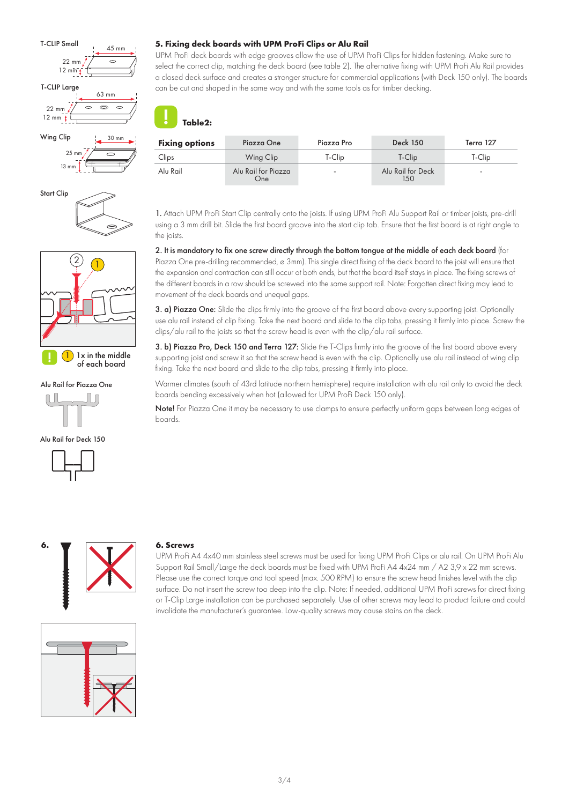





 $\left( 1\right)$  1x in the middle of each board

Alu Rail for Piazza One









UPM ProFi deck boards with edge grooves allow the use of UPM ProFi Clips for hidden fastening. Make sure to select the correct clip, matching the deck board (see table 2). The alternative fixing with UPM ProFi Alu Rail provides a closed deck surface and creates a stronger structure for commercial applications (with Deck 150 only). The boards can be cut and shaped in the same way and with the same tools as for timber decking.

# **Table2:**

| <b>Fixing options</b> | Piazza One                 | Piazza Pro | <b>Deck 150</b>          | Terra 127 |
|-----------------------|----------------------------|------------|--------------------------|-----------|
| Clips                 | Wing Clip                  | T-Clip     | T-Clip                   | T-Clip    |
| Alu Rail              | Alu Rail for Piazza<br>One | ۰.         | Alu Rail for Deck<br>150 |           |

1. Attach UPM ProFi Start Clip centrally onto the joists. If using UPM ProFi Alu Support Rail or timber joists, pre-drill using a 3 mm drill bit. Slide the first board groove into the start clip tab. Ensure that the first board is at right angle to the joists.

2. It is mandatory to fix one screw directly through the bottom tongue at the middle of each deck board (for Piazza One pre-drilling recommended, ø 3mm). This single direct fixing of the deck board to the joist will ensure that the expansion and contraction can still occur at both ends, but that the board itself stays in place. The fixing screws of the different boards in a row should be screwed into the same support rail. Note: Forgotten direct fixing may lead to movement of the deck boards and unequal gaps.

3. a) Piazza One: Slide the clips firmly into the groove of the first board above every supporting joist. Optionally use alu rail instead of clip fixing. Take the next board and slide to the clip tabs, pressing it firmly into place. Screw the clips/alu rail to the joists so that the screw head is even with the clip/alu rail surface.

3. b) Piazza Pro, Deck 150 and Terra 127: Slide the T-Clips firmly into the groove of the first board above every supporting joist and screw it so that the screw head is even with the clip. Optionally use alu rail instead of wing clip fixing. Take the next board and slide to the clip tabs, pressing it firmly into place.

Warmer climates (south of 43rd latitude northern hemisphere) require installation with alu rail only to avoid the deck boards bending excessively when hot (allowed for UPM ProFi Deck 150 only).

Note! For Piazza One it may be necessary to use clamps to ensure perfectly uniform gaps between long edges of boards.



# **6. Screws**

UPM ProFi A4 4x40 mm stainless steel screws must be used for fixing UPM ProFi Clips or alu rail. On UPM ProFi Alu Support Rail Small/Large the deck boards must be fixed with UPM ProFi A4 4x24 mm / A2 3,9 x 22 mm screws. Please use the correct torque and tool speed (max. 500 RPM) to ensure the screw head finishes level with the clip surface. Do not insert the screw too deep into the clip. Note: If needed, additional UPM ProFi screws for direct fixing or T-Clip Large installation can be purchased separately. Use of other screws may lead to product failure and could invalidate the manufacturer's guarantee. Low-quality screws may cause stains on the deck.